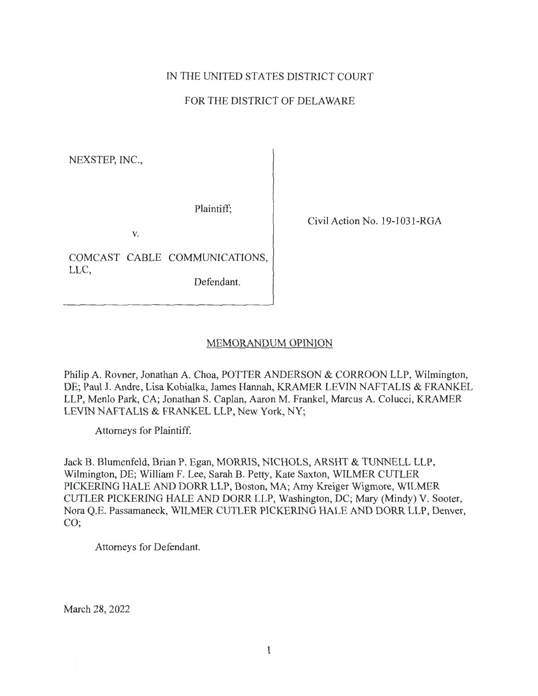# IN THE UNITED STATES DISTRICT COURT

# FOR THE DISTRICT OF DELAWARE

NEXSTEP, INC.,

Plaintiff;

V.

COMCAST CABLE COMMUNICATIONS, LLC,

Defendant.

Civil Action No. 19-1031-RGA

# MEMORANDUM OPINION

Philip A. Rovner, Jonathan A. Choa, POTTER ANDERSON & CORROON LLP, Wilmington, DE; Paul J. Andre, Lisa Kobialka, James Hannah, KRAMER LEVIN NAFTALIS & FRANKEL LLP, Menlo Park, CA; Jonathan S. Caplan, Aaron M. Frankel, Marcus A. Colucci, KRAMER LEVIN NAFTALIS & FRANKEL LLP, New York, NY;

Attorneys for Plaintiff.

Jack B. Blumenfeld, Brian P. Egan, MORRIS, NICHOLS, ARSHT & TUNNELL LLP, Wilmington, DE; William F. Lee, Sarah B. Petty, Kate Saxton, WILMER CUTLER PICKERING HALE AND DORR LLP, Boston, MA; Arny Kreiger Wigmore, WILMER CUTLER PICKERING HALE AND DORR LLP, Washington, DC; Mary (Mindy) V. Sooter, Nora Q.E. Passamaneck, WILMER CUTLER PICKERING HALE AND DORR LLP, Denver, CO;

Attorneys for Defendant.

March 28, 2022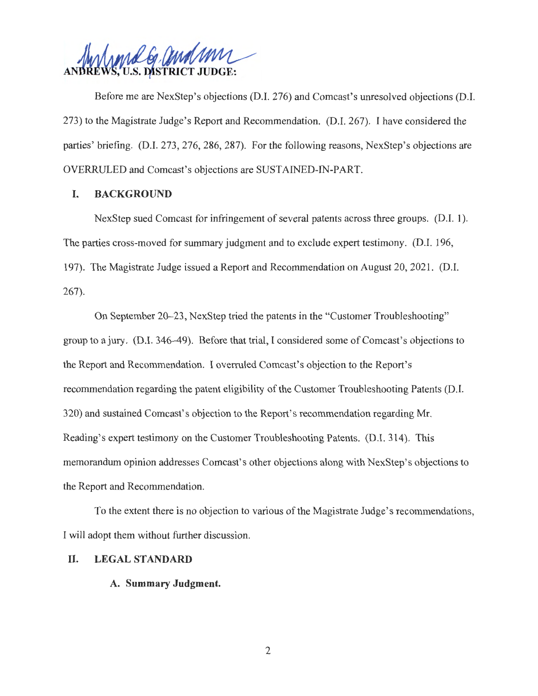*IA~r-21 / <sup>~</sup>* **JU.S. DISTRICT JUDGE:** 

Before me are NexStep's objections (D.I. 276) and Comcast's unresolved objections (D.I. 273) to the Magistrate Judge's Report and Recommendation. (D.I. 267). I have considered the parties' briefing. (D.I. 273, 276, 286, 287). For the following reasons, NexStep's objections are OVERRULED and Comcast's objections are SUSTAINED-IN-PART.

# I. **BACKGROUND**

NexStep sued Comcast for infringement of several patents across three groups. (D.I. 1 ). The parties cross-moved for summary judgment and to exclude expert testimony. (D.I. 196, 197). The Magistrate Judge issued a Report and Recommendation on August 20, 2021. (D.I. 267).

On September 20-23, NexStep tried the patents in the "Customer Troubleshooting" group to a jury. (D.I. 346-49). Before that trial, I considered some of Comcast's objections to the Report and Recommendation. I overruled Comcast's objection to the Report's recommendation regarding the patent eligibility of the Customer Troubleshooting Patents (D.I. 320) and sustained Comcast's objection to the Report's recommendation regarding Mr. Reading's expert testimony on the Customer Troubleshooting Patents. (D.I. 314). This memorandum opinion addresses Comcast's other objections along with NexStep's objections to the Report and Recommendation.

To the extent there is no objection to various of the Magistrate Judge's recommendations, I will adopt them without further discussion.

# II. **LEGAL STANDARD**

### **A. Summary Judgment.**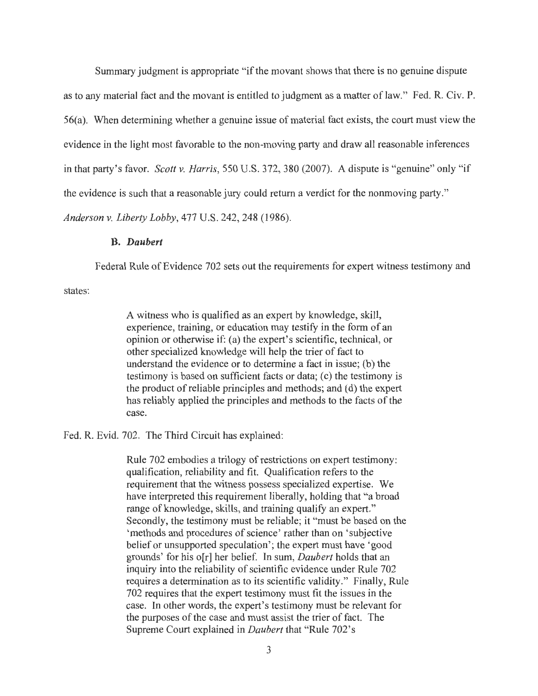Summary judgment is appropriate "if the movant shows that there is no genuine dispute as to any material fact and the movant is entitled to judgment as a matter of law." Fed. R. Civ. P. 56(a). When determining whether a genuine issue of material fact exists, the court must view the evidence in the light most favorable to the non-moving party and draw all reasonable inferences in that party's favor. *Scott v. Harris,* 550 U.S. 372, 380 (2007). A dispute is "genuine" only "if the evidence is such that a reasonable jury could return a verdict for the nonmoving party." *Anderson v. Liberty Lobby,* 477 U.S. 242,248 (1986).

### **B.** *Daubert*

Federal Rule of Evidence 702 sets out the requirements for expert witness testimony and

states:

A witness who is qualified as an expert by knowledge, skill, experience, training, or education may testify in the form of an opinion or otherwise if: (a) the expert's scientific, technical, or other specialized knowledge will help the trier of fact to understand the evidence or to determine a fact in issue; (b) the testimony is based on sufficient facts or data; (c) the testimony is the product of reliable principles and methods; and (d) the expert has reliably applied the principles and methods to the facts of the case.

Fed. R. Evid. 702. The Third Circuit has explained:

Rule 702 embodies a trilogy of restrictions on expert testimony: qualification, reliability and fit. Qualification refers to the requirement that the witness possess specialized expertise. We have interpreted this requirement liberally, holding that "a broad range of knowledge, skills, and training qualify an expert." Secondly, the testimony must be reliable; it "must be based on the 'methods and procedures of science' rather than on 'subjective belief or unsupported speculation'; the expert must have 'good grounds' for his o[r] her belief. In sum, *Daubert* holds that an inquiry into the reliability of scientific evidence under Rule 702 requires a determination as to its scientific validity." Finally, Rule 702 requires that the expert testimony must fit the issues in the case. In other words, the expert's testimony must be relevant for the purposes of the case and must assist the trier of fact. The Supreme Court explained in *Daubert* that "Rule 702's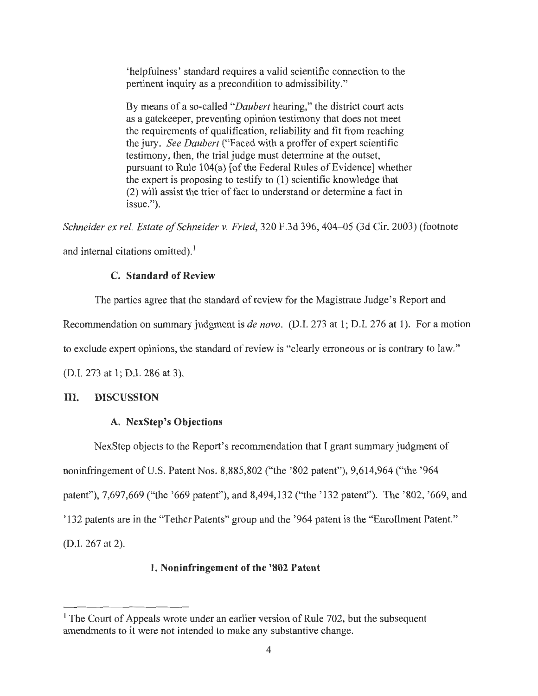'helpfulness' standard requires a valid scientific connection to the pertinent inquiry as a precondition to admissibility."

By means of a so-called *"Daubert* hearing," the district court acts as a gatekeeper, preventing opinion testimony that does not meet the requirements of qualification, reliability and fit from reaching the jury. *See Daubert* ("Faced with a proffer of expert scientific testimony, then, the trial judge must determine at the outset, pursuant to Rule 104(a) [of the Federal Rules of Evidence] whether the expert is proposing to testify to (1) scientific knowledge that (2) will assist the trier of fact to understand or determine a fact in issue.").

*Schneider ex rel. Estate of Schneider v. Fried,* 320 F.3d 396, 404-05 (3d Cir. 2003) (footnote

and internal citations omitted).<sup>1</sup>

### **C. Standard of Review**

The parties agree that the standard of review for the Magistrate Judge's Report and

Recommendation on summary judgment is *de nova.* (D.I. 273 at 1; D.I. 276 at 1). For a motion

to exclude expert opinions, the standard of review is "clearly erroneous or is contrary to law."

(D.I. 273 at 1; D.I. 286 at 3).

# III. **DISCUSSION**

# **A. NexStep's Objections**

NexStep objects to the Report's recommendation that I grant summary judgment of noninfringement of U.S. Patent Nos. 8,885,802 ("the ' 802 patent"), 9,614,964 ("the '964 patent"), 7,697,669 ("the '669 patent"), and 8,494,132 ("the '132 patent"). The '802, '669, and '132 patents are in the "Tether Patents" group and the ' 964 patent is the "Enrollment Patent." (D.I. 267 at 2).

# **1. Noninfringement of the '802 Patent**

<sup>&</sup>lt;sup>1</sup> The Court of Appeals wrote under an earlier version of Rule 702, but the subsequent amendments to it were not intended to make any substantive change.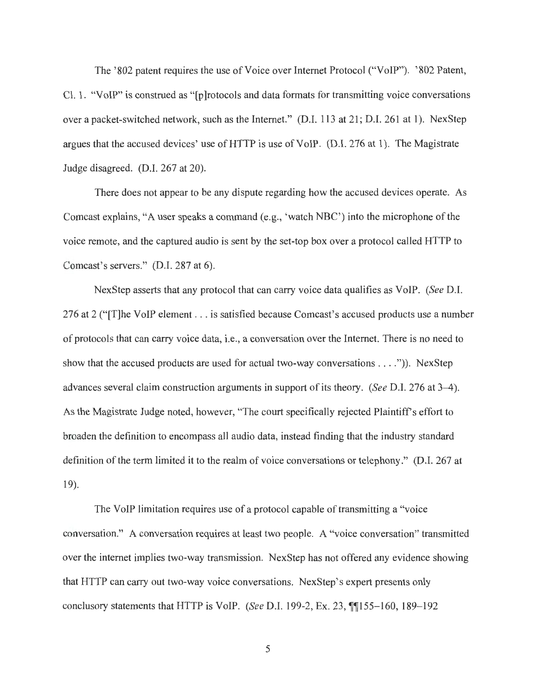The '802 patent requires the use of Voice over Internet Protocol ("VoIP"). '802 Patent, Cl. 1. "VoIP" is construed as "[p]rotocols and data formats for transmitting voice conversations over a packet-switched network, such as the Internet." (D.I. 113 at 21; D.I. 261 at 1). NexStep argues that the accused devices' use of HTTP is use of VoIP. (D.I. 276 at 1). The Magistrate Judge disagreed. (D.I. 267 at 20).

There does not appear to be any dispute regarding how the accused devices operate. As Comcast explains, "A user speaks a command (e.g., 'watch NBC') into the microphone of the voice remote, and the captured audio is sent by the set-top box over a protocol called HTTP to Comcast's servers." (D.I. 287 at 6).

NexStep asserts that any protocol that can carry voice data qualifies as VoIP. *(See* D.I. 276 at 2 ("[T]he VoIP element ... is satisfied because Comcast's accused products use a number of protocols that can carry voice data, i.e., a conversation over the Internet. There is no need to show that the accused products are used for actual two-way conversations . . . . ")). NexStep advances several claim construction arguments in support of its theory. *(See D.I. 276 at 3–4).* As the Magistrate Judge noted, however, "The court specifically rejected Plaintiff's effort to broaden the definition to encompass all audio data, instead finding that the industry standard definition of the term limited it to the realm of voice conversations or telephony." (D.I. 267 at 19).

The VoIP limitation requires use of a protocol capable of transmitting a "voice conversation." A conversation requires at least two people. A "voice conversation" transmitted over the internet implies two-way transmission. NexStep has not offered any evidence showing that HTTP can carry out two-way voice conversations. NexStep's expert presents only conclusory statements that HTTP is VoIP. *(See D.I. 199-2, Ex. 23, [[155-160, 189-192*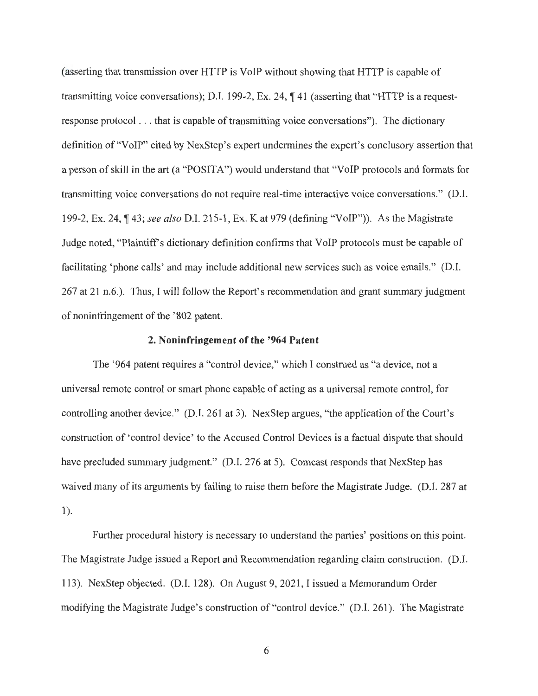(asserting that transmission over HTTP is VoIP without showing that HTTP is capable of transmitting voice conversations); D.I. 199-2, Ex. 24,  $\P$  41 (asserting that "HTTP is a requestresponse protocol . .. that is capable of transmitting voice conversations"). The dictionary definition of "VoIP" cited by NexStep's expert undermines the expert's conclusory assertion that a person of skill in the art (a "POSITA") would understand that "VoIP protocols and formats for transmitting voice conversations do not require real-time interactive voice conversations." (D.I. 199-2, Ex. 24, ¶ 43; *see also* D.I. 215-1, Ex. K at 979 (defining "VoIP")). As the Magistrate Judge noted, "Plaintiffs dictionary definition confirms that VoIP protocols must be capable of facilitating 'phone calls' and may include additional new services such as voice emails." (D.I. 267 at 21 n.6.). Thus, I will follow the Report's recommendation and grant summary judgment of noninfringement of the ' 802 patent.

#### **2. Noninfringement of the '964 Patent**

The '964 patent requires a "control device," which I construed as "a device, not a universal remote control or smart phone capable of acting as a universal remote control, for controlling another device." (D.I. 261 at 3). NexStep argues, "the application of the Court's construction of ' control device' to the Accused Control Devices is a factual dispute that should have precluded summary judgment." (D.I. 276 at 5). Comcast responds that NexStep has waived many of its arguments by failing to raise them before the Magistrate Judge. (D.I. 287 at  $1$ .

Further procedural history is necessary to understand the parties' positions on this point. The Magistrate Judge issued a Report and Recommendation regarding claim construction. (D.I. 113). NexStep objected. (D.I. 128). On August 9, 2021 , I issued a Memorandum Order modifying the Magistrate Judge's construction of "control device." (D.I. 261). The Magistrate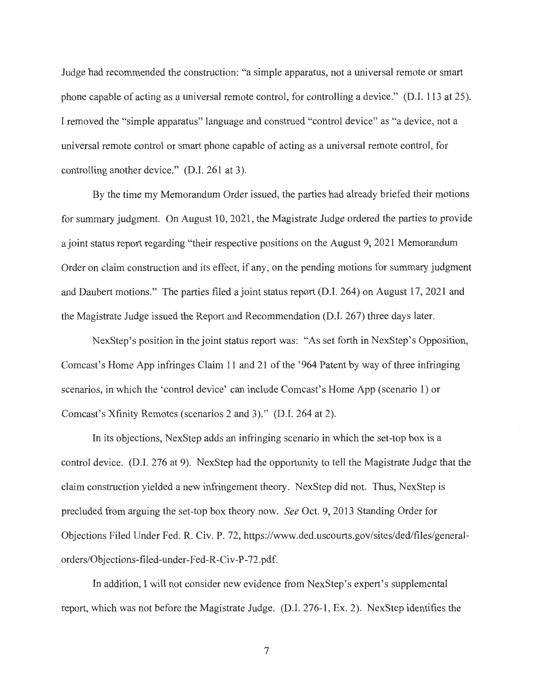Judge had recommended the construction: "a simple apparatus, not a universal remote or smart phone capable of acting as a universal remote control, for controlling a device." (D.I. 113 at 25). I removed the "simple apparatus" language and construed "control device" as "a device, not a universal remote control or smart phone capable of acting as a universal remote control, for controlling another device." (D.I. 261 at 3).

By the time my Memorandum Order issued, the parties had already briefed their motions for summary judgment. On August 10, 2021, the Magistrate Judge ordered the parties to provide a joint status report regarding "their respective positions on the August 9, 2021 Memorandum Order on claim construction and its effect, if any, on the pending motions for summary judgment and Daubert motions." The parties filed a joint status report (D.I. 264) on August 17, 2021 and the Magistrate Judge issued the Report and Recommendation (D.I. 267) three days later.

NexStep's position in the joint status report was: "As set forth in NexStep's Opposition, Comcast's Home App infringes Claim 11 and 21 of the '964 Patent by way of three infringing scenarios, in which the 'control device' can include Comcast's Home App (scenario 1) or Comcast's Xfinity Remotes (scenarios 2 and 3)." (D.1. 264 at 2).

In its objections, NexStep adds an infringing scenario in which the set-top box is a control device. (D.I. 276 at 9). NexStep had the opportunity to tell the Magistrate Judge that the claim construction yielded a new infringement theory. NexStep did not. Thus, NexStep is precluded from arguing the set-top box theory now. *See* Oct. 9, 2013 Standing Order for Objections Filed Under Fed. R. Civ. P. 72, https://www.ded.uscourts.gov/sites/ded/files/generalorders/Objections-filed-under-Fed-R-Civ-P-72.pdf.

In addition, I will not consider new evidence from NexStep's expert's supplemental report, which was not before the Magistrate Judge. (D.I. 276-1, Ex. 2). NexStep identifies the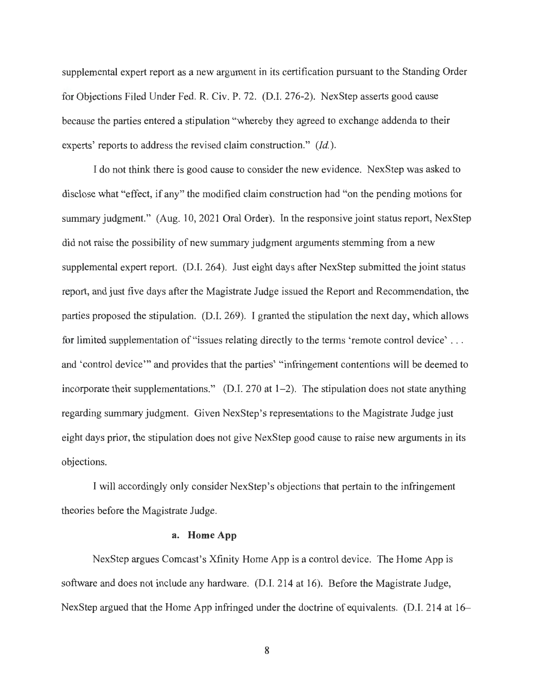supplemental expert report as a new argument in its certification pursuant to the Standing Order for Objections Filed Under Fed. R. Civ. P. 72. (D.I. 276-2). NexStep asserts good cause because the parties entered a stipulation "whereby they agreed to exchange addenda to their experts' reports to address the revised claim construction." *(Id.).* 

I do not think there is good cause to consider the new evidence. NexStep was asked to disclose what "effect, if any" the modified claim construction had "on the pending motions for summary judgment." (Aug. 10, 2021 Oral Order). In the responsive joint status report, NexStep did not raise the possibility of new summary judgment arguments stemming from a new supplemental expert report. (D.I. 264). Just eight days after NexStep submitted the joint status report, and just five days after the Magistrate Judge issued the Report and Recommendation, the parties proposed the stipulation. (D.I. 269). I granted the stipulation the next day, which allows for limited supplementation of "issues relating directly to the terms 'remote control device' ... and 'control device'" and provides that the parties' "infringement contentions will be deemed to incorporate their supplementations." (D.I. 270 at  $1-2$ ). The stipulation does not state anything regarding summary judgment. Given NexStep's representations to the Magistrate Judge just eight days prior, the stipulation does not give NexStep good cause to raise new arguments in its objections.

I will accordingly only consider NexStep's objections that pertain to the infringement theories before the Magistrate Judge.

#### **a. HomeApp**

NexStep argues Comcast's Xfinity Home App is a control device. The Home App is software and does not include any hardware. (D.I. 214 at 16). Before the Magistrate Judge, NexStep argued that the Home App infringed under the doctrine of equivalents. (D.I. 214 at 16-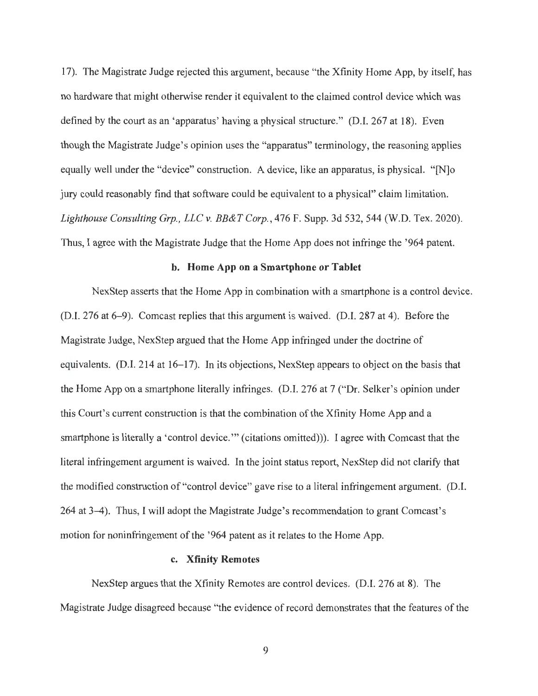17). The Magistrate Judge rejected this argument, because "the Xfinity Home App, by itself, has no hardware that might otherwise render it equivalent to the claimed control device which was defined by the court as an 'apparatus' having a physical structure." (D.I. 267 at 18). Even though the Magistrate Judge's opinion uses the "apparatus" terminology, the reasoning applies equally well under the "device" construction. A device, like an apparatus, is physical. "[N]o jury could reasonably find that software could be equivalent to a physical" claim limitation. *Lighthouse Consulting Grp., LLC v. BB&T Corp.,* 476 F. Supp. 3d 532,544 (W.D. Tex. 2020). Thus, I agree with the Magistrate Judge that the Home App does not infringe the '964 patent.

### **b. Home App on a Smartphone or Tablet**

NexStep asserts that the Home App in combination with a smartphone is a control device. (D.I. 276 at 6-9). Comcast replies that this argument is waived. (D.I. 287 at 4). Before the Magistrate Judge, NexStep argued that the Home App infringed under the doctrine of equivalents. (D.I. 214 at 16-17). In its objections, NexStep appears to object on the basis that the Home App on a smartphone literally infringes. (D.I. 276 at 7 ("Dr. Selker's opinion under this Court's current construction is that the combination of the Xfinity Home App and a smartphone is literally a 'control device."" (citations omitted))). I agree with Comcast that the literal infringement argument is waived. In the joint status report, NexStep did not clarify that the modified construction of "control device" gave rise to a literal infringement argument. (D.I. 264 at 3-4). Thus, I will adopt the Magistrate Judge's recommendation to grant Comcast's motion for noninfringement of the '964 patent as it relates to the Home App.

### **c. Xfinity Remotes**

NexStep argues that the Xfinity Remotes are control devices. (D.I. 276 at 8). The Magistrate Judge disagreed because "the evidence of record demonstrates that the features of the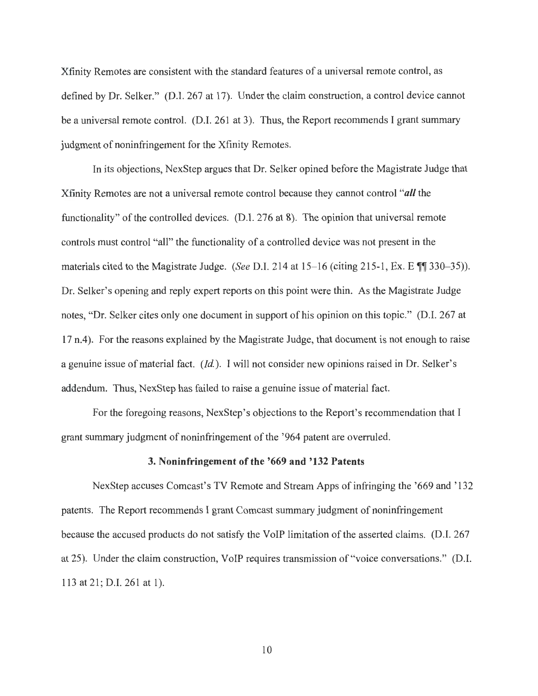Xfinity Remotes are consistent with the standard features of a universal remote control, as defined by Dr. Selker." (D.I. 267 at 17). Under the claim construction, a control device cannot be a universal remote control. (D.I. 261 at 3). Thus, the Report recommends I grant summary judgment of noninfringement for the Xfinity Remotes.

In its objections, NexStep argues that Dr. Selker opined before the Magistrate Judge that Xfinity Remotes are not a universal remote control because they cannot control *"all* the functionality" of the controlled devices. (D.I. 276 at 8). The opinion that universal remote controls must control "all" the functionality of a controlled device was not present in the materials cited to the Magistrate Judge. *(See D.I. 214 at 15–16 (citing 215-1, Ex. E*  $\P$   $\eta$  330–35)). Dr. Selker's opening and reply expert reports on this point were thin. As the Magistrate Judge notes, "Dr. Selker cites only one document in support of his opinion on this topic." (D.I. 267 at 17 n.4). For the reasons explained by the Magistrate Judge, that document is not enough to raise a genuine issue of material fact. *(Id.).* I will not consider new opinions raised in Dr. Selker's addendum. Thus, NexStep has failed to raise a genuine issue of material fact.

For the foregoing reasons, NexStep's objections to the Report's recommendation that I grant summary judgment of noninfringement of the ' 964 patent are overruled.

### **3. Noninfringement of the '669 and '132 Patents**

NexStep accuses Comcast's TV Remote and Stream Apps of infringing the '669 and '132 patents. The Report recommends I grant Comcast summary judgment of noninfringement because the accused products do not satisfy the VoIP limitation of the asserted claims. (D.I. 267 at 25). Under the claim construction, VoIP requires transmission of "voice conversations." (D.I. 113 at 21; D.I. 261 at 1).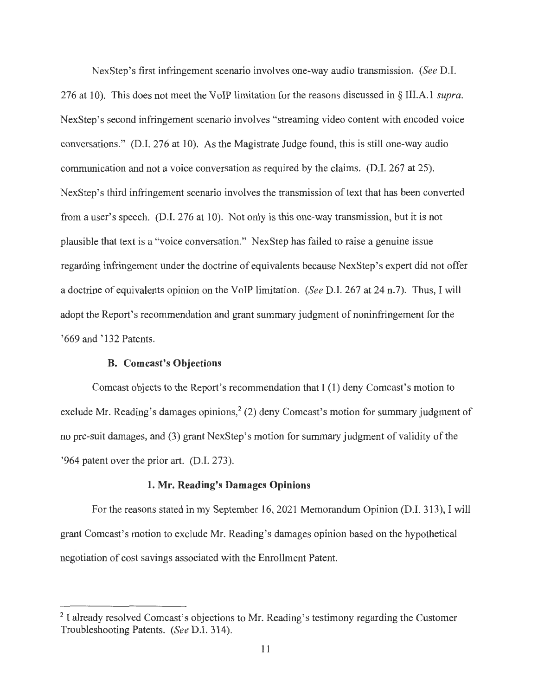NexStep's first infringement scenario involves one-way audio transmission. *(See* D.I. 276 at 10). This does not meet the VoIP limitation for the reasons discussed in § III.A. I *supra.*  NexStep's second infringement scenario involves "streaming video content with encoded voice conversations." (D.I. 276 at 10). As the Magistrate Judge found, this is still one-way audio communication and not a voice conversation as required by the claims. (D.I. 267 at 25). NexStep's third infringement scenario involves the transmission of text that has been converted from a user's speech. (D.I. 276 at 10). Not only is this one-way transmission, but it is not plausible that text is a "voice conversation." NexStep has failed to raise a genuine issue regarding infringement under the doctrine of equivalents because NexStep's expert did not offer a doctrine of equivalents opinion on the VoIP limitation. *(See* D.I. 267 at 24 n.7). Thus, I will adopt the Report's recommendation and grant summary judgment of noninfringement for the '669 and '132 Patents.

# **B. Comcast's Objections**

Comcast objects to the Report's recommendation that I (1) deny Comcast's motion to exclude Mr. Reading's damages opinions,<sup>2</sup> (2) deny Comcast's motion for summary judgment of no pre-suit damages, and (3) grant NexStep's motion for summary judgment of validity of the '964 patent over the prior art. (D.I. 273).

#### **1. Mr. Reading's Damages Opinions**

For the reasons stated in my September 16, 2021 Memorandum Opinion (D.I. 313), I will grant Comcast's motion to exclude Mr. Reading's damages opinion based on the hypothetical negotiation of cost savings associated with the Enrollment Patent.

<sup>&</sup>lt;sup>2</sup> I already resolved Comcast's objections to Mr. Reading's testimony regarding the Customer Troubleshooting Patents. *(See* D.I. 314).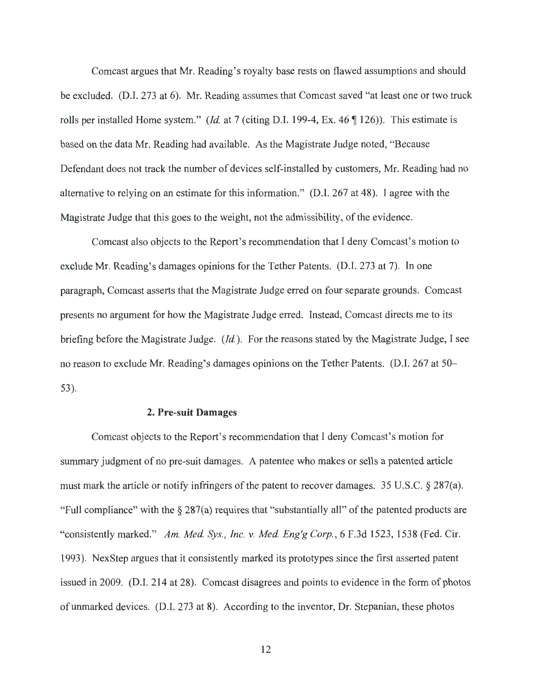Comcast argues that Mr. Reading's royalty base rests on flawed assumptions and should be excluded. (D.I. 273 at 6). Mr. Reading assumes that Comcast saved "at least one or two truck rolls per installed Home system." *(Id.* at 7 (citing D.I. 199-4, Ex. 46 ¶ 126)). This estimate is based on the data Mr. Reading had available. As the Magistrate Judge noted, "Because Defendant does not track the number of devices self-installed by customers, Mr. Reading had no alternative to relying on an estimate for this information." (D.I. 267 at 48). I agree with the Magistrate Judge that this goes to the weight, not the admissibility, of the evidence.

Comcast also objects to the Report's recommendation that I deny Comcast's motion to exclude Mr. Reading's damages opinions for the Tether Patents. (D.I. 273 at 7). In one paragraph, Comcast asserts that the Magistrate Judge erred on four separate grounds. Comcast presents no argument for how the Magistrate Judge erred. Instead, Comcast directs me to its briefing before the Magistrate Judge. *(Id.).* For the reasons stated by the Magistrate Judge, I see no reason to exclude Mr. Reading's damages opinions on the Tether Patents. (D.I. 267 at 50- 53).

#### **2. Pre-suit Damages**

Comcast objects to the Report's recommendation that I deny Comcast's motion for summary judgment of no pre-suit damages. A patentee who makes or sells a patented article must mark the article or notify infringers of the patent to recover damages. 35 U.S.C. § 287(a). "Full compliance" with the  $\S 287(a)$  requires that "substantially all" of the patented products are "consistently marked." *Am. Med. Sys., Inc. v. Med. Eng'g Corp.*, 6 F.3d 1523, 1538 (Fed. Cir. 1993). NexStep argues that it consistently marked its prototypes since the first asserted patent issued in 2009. (D.I. 214 at 28). Comcast disagrees and points to evidence in the form of photos of unmarked devices. (D.I. 273 at 8). According to the inventor, Dr. Stepanian, these photos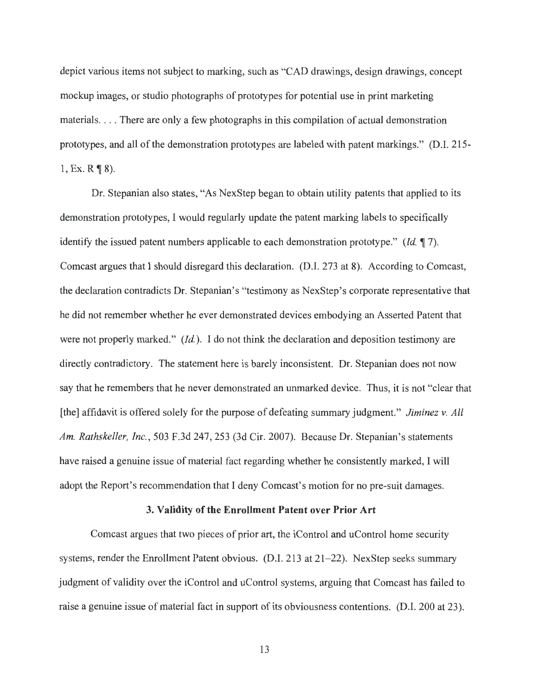depict various items not subject to marking, such as "CAD drawings, design drawings, concept mockup images, or studio photographs of prototypes for potential use in print marketing materials.... There are only a few photographs in this compilation of actual demonstration prototypes, and all of the demonstration prototypes are labeled with patent markings." (D.1. 215- 1, Ex.  $R \P 8$ ).

Dr. Stepanian also states, "As NexStep began to obtain utility patents that applied to its demonstration prototypes, I would regularly update the patent marking labels to specifically identify the issued patent numbers applicable to each demonstration prototype." *(Id.* **1** 7). Comcast argues that I should disregard this declaration. (D.I. 273 at 8). According to Comcast, the declaration contradicts Dr. Stepanian's "testimony as NexStep's corporate representative that he did not remember whether he ever demonstrated devices embodying an Asserted Patent that were not properly marked." *(Id.).* I do not think the declaration and deposition testimony are directly contradictory. The statement here is barely inconsistent. Dr. Stepanian does not now say that he remembers that he never demonstrated an unmarked device. Thus, it is not "clear that [the] affidavit is offered solely for the purpose of defeating summary judgment." *Jiminez v. All Am. Rathskeller, Inc.,* 503 F.3d 247,253 (3d Cir. 2007). Because Dr. Stepanian's statements have raised a genuine issue of material fact regarding whether he consistently marked, I will adopt the Report's recommendation that I deny Comcast's motion for no pre-suit damages.

### **3. Validity of the Enrollment Patent over Prior Art**

Comcast argues that two pieces of prior art, the iControl and uControl home security systems, render the Enrollment Patent obvious.  $(D.I. 213$  at  $21-22)$ . NexStep seeks summary judgment of validity over the iControl and uControl systems, arguing that Comcast has failed to raise a genuine issue of material fact in support of its obviousness contentions. (D.I. 200 at 23).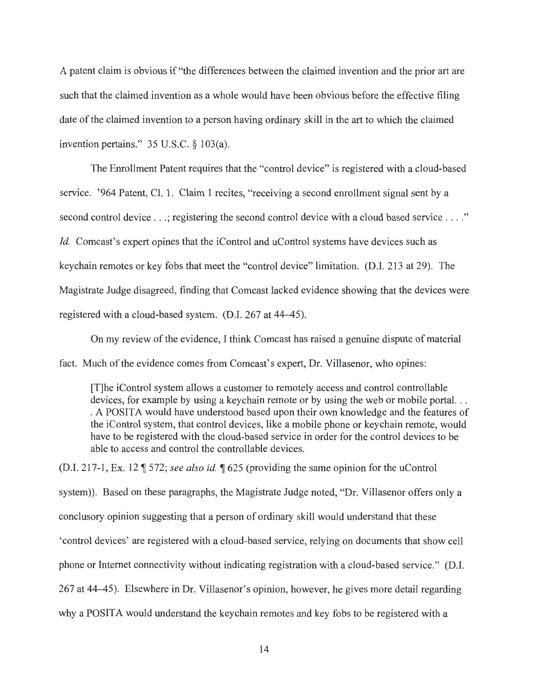A patent claim is obvious if "the differences between the claimed invention and the prior art are such that the claimed invention as a whole would have been obvious before the effective filing date of the claimed invention to a person having ordinary skill in the art to which the claimed invention pertains." 35 U.S.C. § 103(a).

The Enrollment Patent requires that the "control device" is registered with a cloud-based service. '964 Patent, Cl. 1. Claim 1 recites, "receiving a second enrollment signal sent by a second control device ...; registering the second control device with a cloud based service ...." *Id.* Comcast's expert opines that the iControl and uControl systems have devices such as keychain remotes or key fobs that meet the "control device" limitation. (D.I. 213 at 29). The Magistrate Judge disagreed, finding that Comcast lacked evidence showing that the devices were registered with a cloud-based system. (D.I. 267 at 44-45).

On my review of the evidence, I think Comcast has raised a genuine dispute of material fact. Much of the evidence comes from Comcast's expert, Dr. Villasenor, who opines:

[T]he iControl system allows a customer to remotely access and control controllable devices, for example by using a keychain remote or by using the web or mobile portal... . A POSITA would have understood based upon their own knowledge and the features of the iControl system, that control devices, like a mobile phone or keychain remote, would have to be registered with the cloud-based service in order for the control devices to be able to access and control the controllable devices.

(D.I. 217-1, Ex. 12  $\parallel$  572; *see also id.*  $\parallel$  625 (providing the same opinion for the uControl system)). Based on these paragraphs, the Magistrate Judge noted, "Dr. Villasenor offers only a conclusory opinion suggesting that a person of ordinary skill would understand that these 'control devices' are registered with a cloud-based service, relying on documents that show cell phone or Internet connectivity without indicating registration with a cloud-based service." (D.I. 267 at 44-45). Elsewhere in Dr. Villasenor's opinion, however, he gives more detail regarding

why a POSITA would understand the keychain remotes and key fobs to be registered with a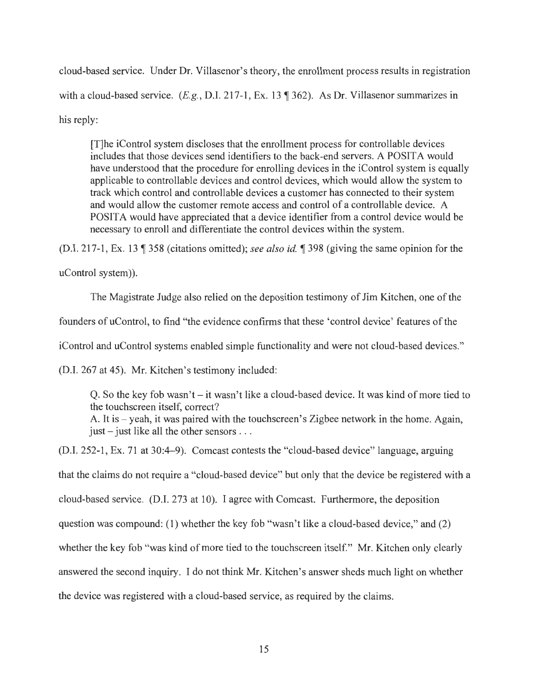cloud-based service. Under Dr. Villasenor's theory, the enrollment process results in registration with a cloud-based service.  $(E.g., D.I. 217-1, Ex. 13$  [362). As Dr. Villasenor summarizes in his reply:

[T]he iControl system discloses that the enrollment process for controllable devices includes that those devices send identifiers to the back-end servers. A POSITA would have understood that the procedure for enrolling devices in the iControl system is equally applicable to controllable devices and control devices, which would allow the system to track which control and controllable devices a customer has connected to their system and would allow the customer remote access and control of a controllable device. A POSIT A would have appreciated that a device identifier from a control device would be necessary to enroll and differentiate the control devices within the system.

(D.I. 217-1, Ex. 131358 (citations omitted); *see also id.* 1398 (giving the same opinion for the

uControl system)).

The Magistrate Judge also relied on the deposition testimony of Jim Kitchen, one of the founders of uControl, to find "the evidence confirms that these 'control device' features of the iControl and uControl systems enabled simple functionality and were not cloud-based devices." (D.1. 267 at 45). Mr. Kitchen's testimony included:

Q. So the key fob wasn't  $-i$  wasn't like a cloud-based device. It was kind of more tied to the touchscreen itself, correct? A. It is – yeah, it was paired with the touchscreen's Zigbee network in the home. Again, just  $-$  just like all the other sensors  $\ldots$ 

(D.I. 252-1, Ex. 71 at 30:4-9). Comcast contests the "cloud-based device" language, arguing that the claims do not require a "cloud-based device" but only that the device be registered with a cloud-based service. (D.I. 273 at 10). I agree with Comcast. Furthermore, the deposition question was compound: (1) whether the key fob "wasn't like a cloud-based device," and (2) whether the key fob "was kind of more tied to the touchscreen itself." Mr. Kitchen only clearly answered the second inquiry. I do not think Mr. Kitchen's answer sheds much light on whether the device was registered with a cloud-based service, as required by the claims.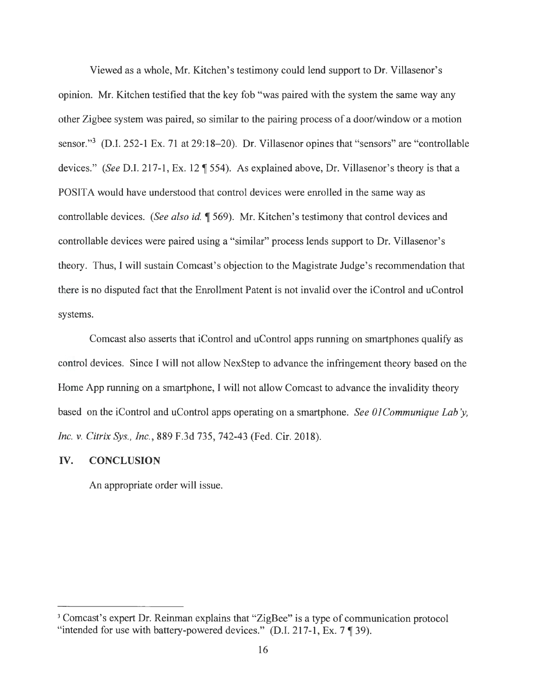Viewed as a whole, Mr. Kitchen's testimony could lend support to Dr. Villasenor's opinion. Mr. Kitchen testified that the key fob "was paired with the system the same way any other Zigbee system was paired, so similar to the pairing process of a door/window or a motion sensor."<sup>3</sup> (D.I. 252-1 Ex. 71 at 29:18–20). Dr. Villasenor opines that "sensors" are "controllable devices." *(See D.I. 217-1, Ex. 12* ¶ 554). As explained above, Dr. Villasenor's theory is that a POSIT A would have understood that control devices were enrolled in the same way as controllable devices. *(See also id.* 1569). Mr. Kitchen's testimony that control devices and controllable devices were paired using a "similar" process lends support to Dr. Villasenor's theory. Thus, I will sustain Comcast's objection to the Magistrate Judge's recommendation that there is no disputed fact that the Enrollment Patent is not invalid over the iControl and uControl systems.

Comcast also asserts that iControl and uControl apps running on smartphones qualify as control devices. Since I will not allow NexStep to advance the infringement theory based on the Home App running on a smartphone, I will not allow Comcast to advance the invalidity theory based on the iControl and uControl apps operating on a smartphone. *See 01Communique Lab'y*, *Inc. v. Citrix Sys., Inc.,* 889 F.3d 735, 742-43 (Fed. Cir. 2018).

### **IV. CONCLUSION**

An appropriate order will issue.

<sup>&</sup>lt;sup>3</sup> Comcast's expert Dr. Reinman explains that "ZigBee" is a type of communication protocol "intended for use with battery-powered devices." (D.I. 217-1, Ex. 7  $\P$  39).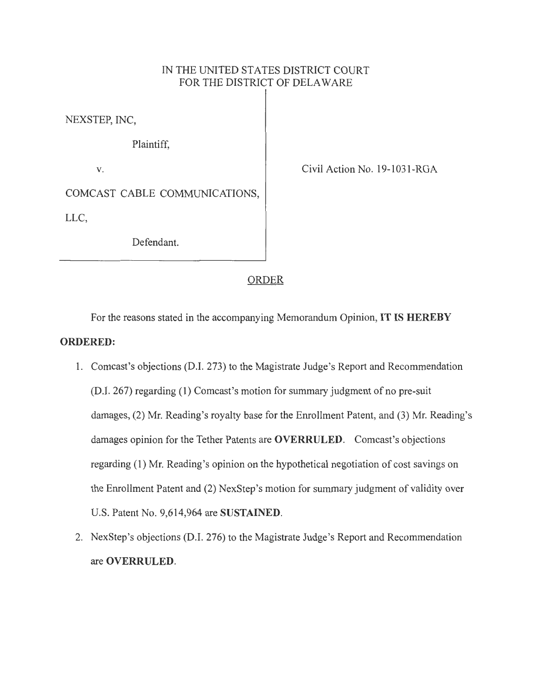# IN THE UNITED STATES DISTRICT COURT FOR THE DISTRICT OF DELA WARE

NEXSTEP, INC,

Plaintiff,

**V.** 

Civil Action No. 19-1031-RGA

COMCAST CABLE COMMUNICATIONS, LLC,

Defendant.

# ORDER

For the reasons stated in the accompanying Memorandum Opinion, **IT IS HEREBY ORDERED:** 

- 1. Comcast's objections (DJ. 273) to the Magistrate Judge's Report and Recommendation (D.I. 267) regarding (1) Comcast's motion for summary judgment of no pre-suit damages, (2) Mr. Reading's royalty base for the Enrollment Patent, and (3) Mr. Reading's damages opinion for the Tether Patents are **OVERRULED.** Comcast's objections regarding (1) Mr. Reading's opinion on the hypothetical negotiation of cost savings on the Enrollment Patent and (2) NexStep's motion for summary judgment of validity over U.S. Patent No. 9,614,964 are **SUSTAINED.**
- 2. NexStep's objections (D.I. 276) to the Magistrate Judge's Report and Recommendation are **OVERRULED.**